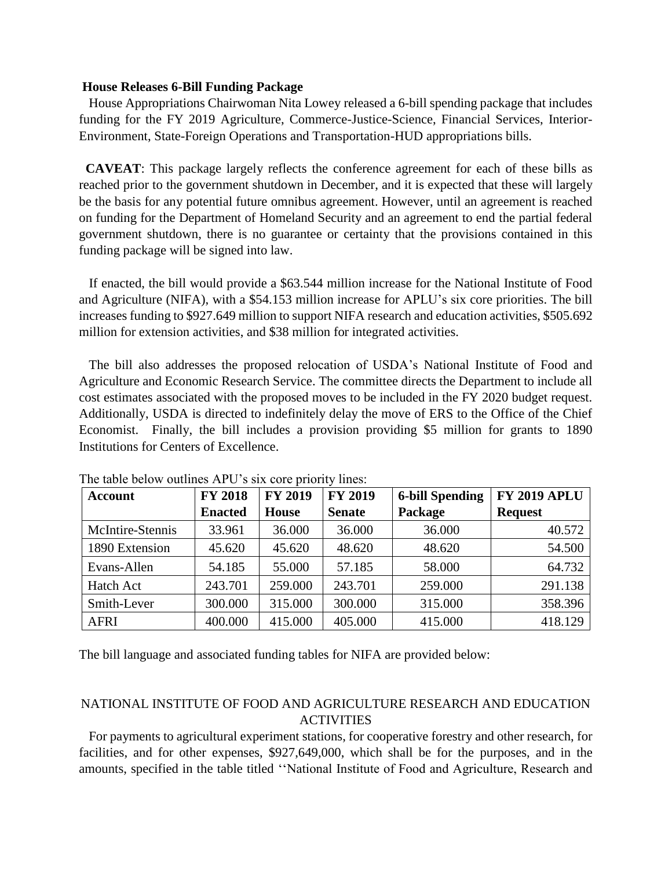## **House Releases 6-Bill Funding Package**

 House Appropriations Chairwoman Nita Lowey released a 6-bill spending package that includes funding for the FY 2019 Agriculture, Commerce-Justice-Science, Financial Services, Interior-Environment, State-Foreign Operations and Transportation-HUD appropriations bills.

 **CAVEAT**: This package largely reflects the conference agreement for each of these bills as reached prior to the government shutdown in December, and it is expected that these will largely be the basis for any potential future omnibus agreement. However, until an agreement is reached on funding for the Department of Homeland Security and an agreement to end the partial federal government shutdown, there is no guarantee or certainty that the provisions contained in this funding package will be signed into law.

 If enacted, the bill would provide a \$63.544 million increase for the National Institute of Food and Agriculture (NIFA), with a \$54.153 million increase for APLU's six core priorities. The bill increases funding to \$927.649 million to support NIFA research and education activities, \$505.692 million for extension activities, and \$38 million for integrated activities.

 The bill also addresses the proposed relocation of USDA's National Institute of Food and Agriculture and Economic Research Service. The committee directs the Department to include all cost estimates associated with the proposed moves to be included in the FY 2020 budget request. Additionally, USDA is directed to indefinitely delay the move of ERS to the Office of the Chief Economist. Finally, the bill includes a provision providing \$5 million for grants to 1890 Institutions for Centers of Excellence.

| <b>Account</b>   | <b>FY 2018</b> | <b>FY 2019</b> | <b>FY 2019</b> | <b>6-bill Spending</b> | <b>FY 2019 APLU</b> |
|------------------|----------------|----------------|----------------|------------------------|---------------------|
|                  | <b>Enacted</b> | <b>House</b>   | <b>Senate</b>  | Package                | <b>Request</b>      |
| McIntire-Stennis | 33.961         | 36.000         | 36.000         | 36.000                 | 40.572              |
| 1890 Extension   | 45.620         | 45.620         | 48.620         | 48.620                 | 54.500              |
| Evans-Allen      | 54.185         | 55.000         | 57.185         | 58.000                 | 64.732              |
| Hatch Act        | 243.701        | 259.000        | 243.701        | 259.000                | 291.138             |
| Smith-Lever      | 300.000        | 315.000        | 300.000        | 315.000                | 358.396             |
| <b>AFRI</b>      | 400.000        | 415.000        | 405.000        | 415.000                | 418.129             |

The table below outlines APU's six core priority lines:

The bill language and associated funding tables for NIFA are provided below:

## NATIONAL INSTITUTE OF FOOD AND AGRICULTURE RESEARCH AND EDUCATION ACTIVITIES

 For payments to agricultural experiment stations, for cooperative forestry and other research, for facilities, and for other expenses, \$927,649,000, which shall be for the purposes, and in the amounts, specified in the table titled ''National Institute of Food and Agriculture, Research and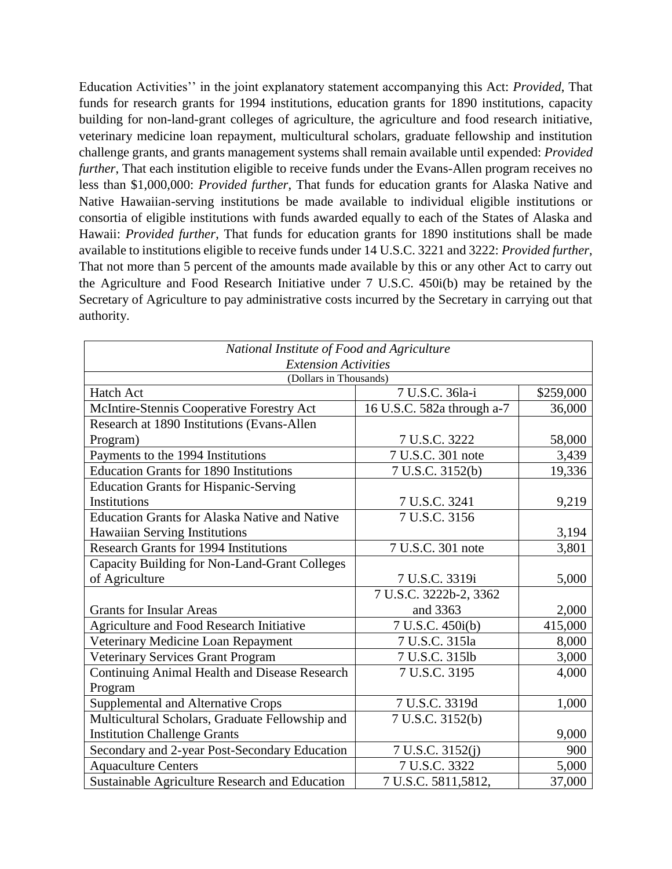Education Activities'' in the joint explanatory statement accompanying this Act: *Provided*, That funds for research grants for 1994 institutions, education grants for 1890 institutions, capacity building for non-land-grant colleges of agriculture, the agriculture and food research initiative, veterinary medicine loan repayment, multicultural scholars, graduate fellowship and institution challenge grants, and grants management systems shall remain available until expended: *Provided further*, That each institution eligible to receive funds under the Evans-Allen program receives no less than \$1,000,000: *Provided further*, That funds for education grants for Alaska Native and Native Hawaiian-serving institutions be made available to individual eligible institutions or consortia of eligible institutions with funds awarded equally to each of the States of Alaska and Hawaii: *Provided further*, That funds for education grants for 1890 institutions shall be made available to institutions eligible to receive funds under 14 U.S.C. 3221 and 3222: *Provided further*, That not more than 5 percent of the amounts made available by this or any other Act to carry out the Agriculture and Food Research Initiative under 7 U.S.C. 450i(b) may be retained by the Secretary of Agriculture to pay administrative costs incurred by the Secretary in carrying out that authority.

| National Institute of Food and Agriculture            |                            |           |  |
|-------------------------------------------------------|----------------------------|-----------|--|
| <b>Extension Activities</b><br>(Dollars in Thousands) |                            |           |  |
| <b>Hatch Act</b>                                      | 7 U.S.C. 36la-i            | \$259,000 |  |
| McIntire-Stennis Cooperative Forestry Act             | 16 U.S.C. 582a through a-7 | 36,000    |  |
| Research at 1890 Institutions (Evans-Allen            |                            |           |  |
| Program)                                              | 7 U.S.C. 3222              | 58,000    |  |
| Payments to the 1994 Institutions                     | 7 U.S.C. 301 note          | 3,439     |  |
| <b>Education Grants for 1890 Institutions</b>         | 7 U.S.C. 3152(b)           | 19,336    |  |
| <b>Education Grants for Hispanic-Serving</b>          |                            |           |  |
| Institutions                                          | 7 U.S.C. 3241              | 9,219     |  |
| <b>Education Grants for Alaska Native and Native</b>  | 7 U.S.C. 3156              |           |  |
| Hawaiian Serving Institutions                         |                            | 3,194     |  |
| <b>Research Grants for 1994 Institutions</b>          | 7 U.S.C. 301 note          | 3,801     |  |
| Capacity Building for Non-Land-Grant Colleges         |                            |           |  |
| of Agriculture                                        | 7 U.S.C. 3319i             | 5,000     |  |
|                                                       | 7 U.S.C. 3222b-2, 3362     |           |  |
| <b>Grants for Insular Areas</b>                       | and 3363                   | 2,000     |  |
| Agriculture and Food Research Initiative              | 7 U.S.C. 450i(b)           | 415,000   |  |
| Veterinary Medicine Loan Repayment                    | 7 U.S.C. 315la             | 8,000     |  |
| Veterinary Services Grant Program                     | 7 U.S.C. 315lb             | 3,000     |  |
| <b>Continuing Animal Health and Disease Research</b>  | 7 U.S.C. 3195              | 4,000     |  |
| Program                                               |                            |           |  |
| <b>Supplemental and Alternative Crops</b>             | 7 U.S.C. 3319d             | 1,000     |  |
| Multicultural Scholars, Graduate Fellowship and       | 7 U.S.C. 3152(b)           |           |  |
| <b>Institution Challenge Grants</b>                   |                            | 9,000     |  |
| Secondary and 2-year Post-Secondary Education         | 7 U.S.C. 3152(j)           | 900       |  |
| <b>Aquaculture Centers</b>                            | 7 U.S.C. 3322              | 5,000     |  |
| Sustainable Agriculture Research and Education        | 7 U.S.C. 5811,5812,        | 37,000    |  |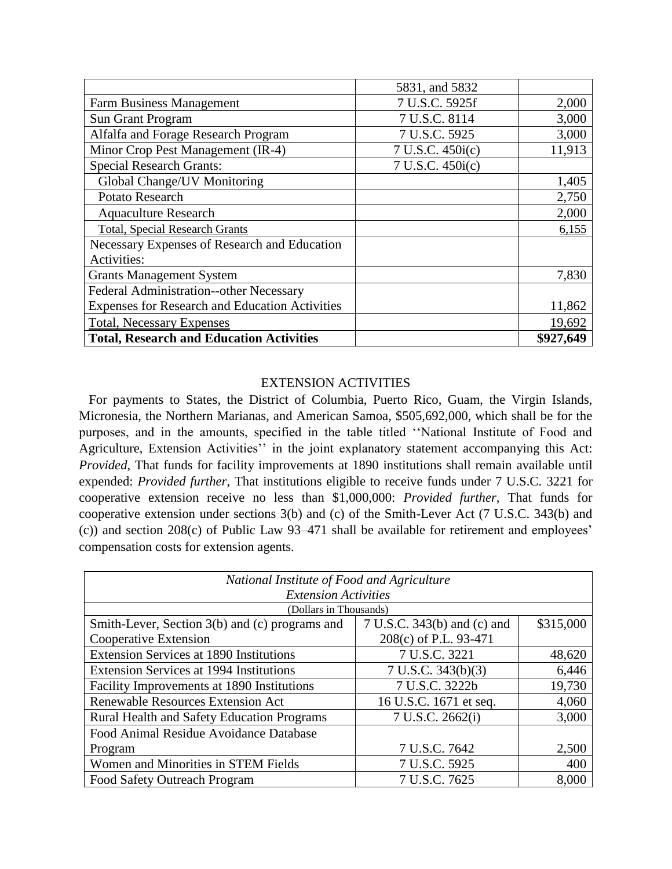|                                                 | 5831, and 5832   |           |
|-------------------------------------------------|------------------|-----------|
| <b>Farm Business Management</b>                 | 7 U.S.C. 5925f   | 2,000     |
| <b>Sun Grant Program</b>                        | 7 U.S.C. 8114    | 3,000     |
| Alfalfa and Forage Research Program             | 7 U.S.C. 5925    | 3,000     |
| Minor Crop Pest Management (IR-4)               | 7 U.S.C. 450i(c) | 11,913    |
| <b>Special Research Grants:</b>                 | 7 U.S.C. 450i(c) |           |
| Global Change/UV Monitoring                     |                  | 1,405     |
| Potato Research                                 |                  | 2,750     |
| <b>Aquaculture Research</b>                     |                  | 2,000     |
| <b>Total, Special Research Grants</b>           |                  | 6,155     |
| Necessary Expenses of Research and Education    |                  |           |
| Activities:                                     |                  |           |
| <b>Grants Management System</b>                 |                  | 7,830     |
| Federal Administration--other Necessary         |                  |           |
| Expenses for Research and Education Activities  |                  | 11,862    |
| <b>Total, Necessary Expenses</b>                |                  | 19,692    |
| <b>Total, Research and Education Activities</b> |                  | \$927,649 |

## EXTENSION ACTIVITIES

 For payments to States, the District of Columbia, Puerto Rico, Guam, the Virgin Islands, Micronesia, the Northern Marianas, and American Samoa, \$505,692,000, which shall be for the purposes, and in the amounts, specified in the table titled ''National Institute of Food and Agriculture, Extension Activities'' in the joint explanatory statement accompanying this Act: *Provided*, That funds for facility improvements at 1890 institutions shall remain available until expended: *Provided further*, That institutions eligible to receive funds under 7 U.S.C. 3221 for cooperative extension receive no less than \$1,000,000: *Provided further*, That funds for cooperative extension under sections 3(b) and (c) of the Smith-Lever Act (7 U.S.C. 343(b) and (c)) and section 208(c) of Public Law 93–471 shall be available for retirement and employees' compensation costs for extension agents.

| National Institute of Food and Agriculture        |                             |           |  |
|---------------------------------------------------|-----------------------------|-----------|--|
| <b>Extension Activities</b>                       |                             |           |  |
| (Dollars in Thousands)                            |                             |           |  |
| Smith-Lever, Section 3(b) and (c) programs and    | 7 U.S.C. 343(b) and (c) and | \$315,000 |  |
| Cooperative Extension                             | 208(c) of P.L. 93-471       |           |  |
| <b>Extension Services at 1890 Institutions</b>    | 7 U.S.C. 3221               | 48,620    |  |
| <b>Extension Services at 1994 Institutions</b>    | 7 U.S.C. 343(b)(3)          | 6,446     |  |
| Facility Improvements at 1890 Institutions        | 7 U.S.C. 3222b              | 19,730    |  |
| <b>Renewable Resources Extension Act</b>          | 16 U.S.C. 1671 et seq.      | 4,060     |  |
| <b>Rural Health and Safety Education Programs</b> | 7 U.S.C. 2662(i)            | 3,000     |  |
| Food Animal Residue Avoidance Database            |                             |           |  |
| Program                                           | 7 U.S.C. 7642               | 2,500     |  |
| Women and Minorities in STEM Fields               | 7 U.S.C. 5925               | 400       |  |
| Food Safety Outreach Program                      | 7 U.S.C. 7625               | 8,000     |  |